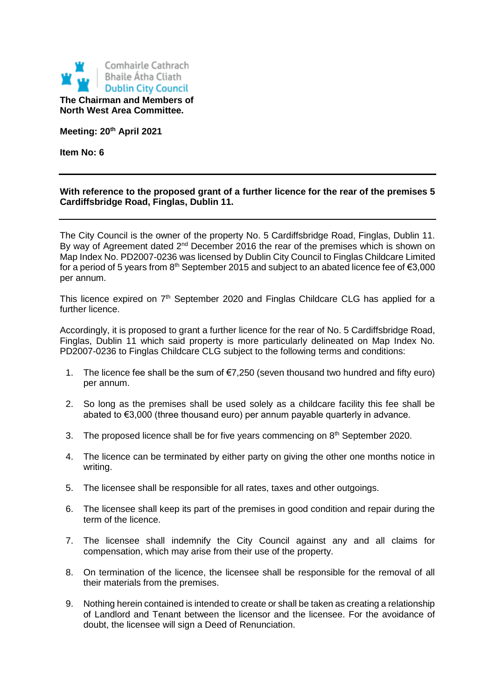

**Meeting: 20th April 2021**

**Item No: 6**

## **With reference to the proposed grant of a further licence for the rear of the premises 5 Cardiffsbridge Road, Finglas, Dublin 11.**

The City Council is the owner of the property No. 5 Cardiffsbridge Road, Finglas, Dublin 11. By way of Agreement dated  $2^{nd}$  December 2016 the rear of the premises which is shown on Map Index No. PD2007-0236 was licensed by Dublin City Council to Finglas Childcare Limited for a period of 5 years from  $8<sup>th</sup>$  September 2015 and subject to an abated licence fee of  $\epsilon$ 3,000 per annum.

This licence expired on 7<sup>th</sup> September 2020 and Finglas Childcare CLG has applied for a further licence.

Accordingly, it is proposed to grant a further licence for the rear of No. 5 Cardiffsbridge Road, Finglas, Dublin 11 which said property is more particularly delineated on Map Index No. PD2007-0236 to Finglas Childcare CLG subject to the following terms and conditions:

- 1. The licence fee shall be the sum of €7,250 (seven thousand two hundred and fifty euro) per annum.
- 2. So long as the premises shall be used solely as a childcare facility this fee shall be abated to €3,000 (three thousand euro) per annum payable quarterly in advance.
- 3. The proposed licence shall be for five years commencing on  $8<sup>th</sup>$  September 2020.
- 4. The licence can be terminated by either party on giving the other one months notice in writing.
- 5. The licensee shall be responsible for all rates, taxes and other outgoings.
- 6. The licensee shall keep its part of the premises in good condition and repair during the term of the licence.
- 7. The licensee shall indemnify the City Council against any and all claims for compensation, which may arise from their use of the property.
- 8. On termination of the licence, the licensee shall be responsible for the removal of all their materials from the premises.
- 9. Nothing herein contained is intended to create or shall be taken as creating a relationship of Landlord and Tenant between the licensor and the licensee. For the avoidance of doubt, the licensee will sign a Deed of Renunciation.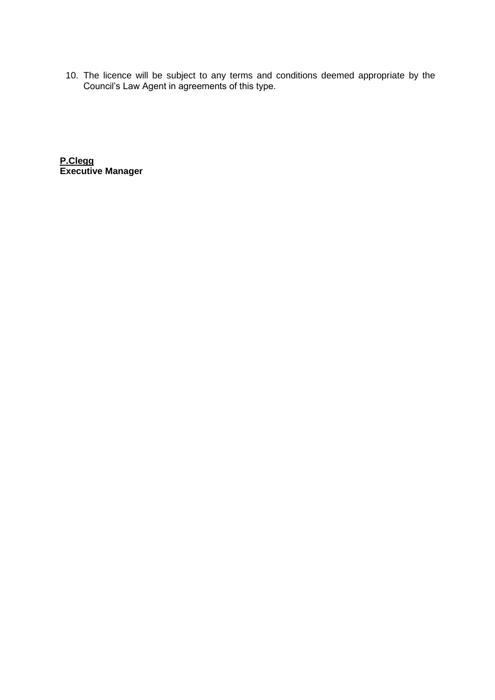10. The licence will be subject to any terms and conditions deemed appropriate by the Council's Law Agent in agreements of this type.

**P.Clegg Executive Manager**